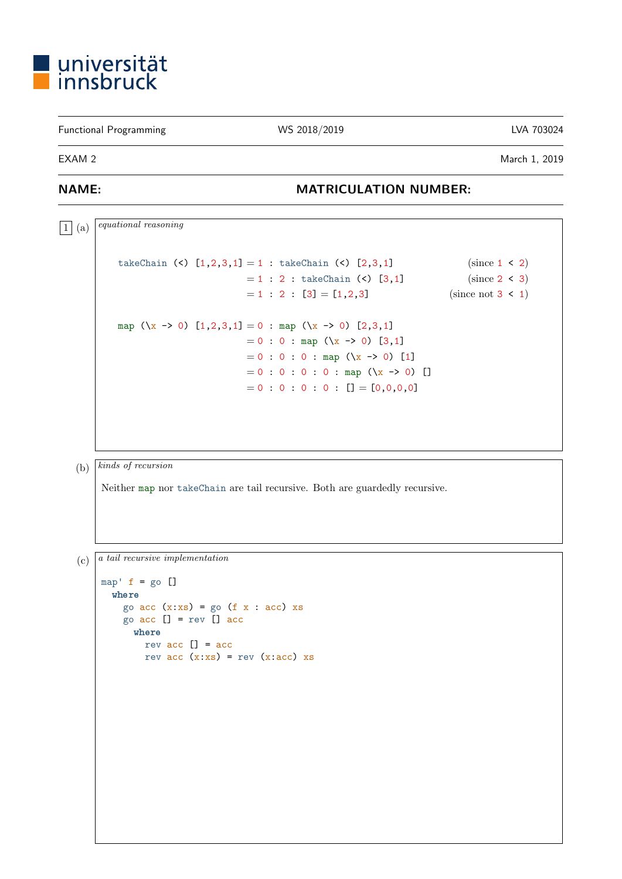## ■ universität<br>■ innsbruck

## Functional Programming WS 2018/2019 LVA 703024

EXAM 2 March 1, 2019

## NAME: NAME: NAME: MATRICULATION NUMBER:

 $\boxed{1}$  (a) equational reasoning takeChain (<)  $[1,2,3,1] = 1$  : takeChain (<)  $[2,3,1]$  (since  $1 \le 2$ )  $= 1 : 2 :$  takeChain (<) [3,1] (since 2 < 3)  $= 1 : 2 : [3] = [1,2,3]$  (since not  $3 < 1$ ) map  $(\{x \rightarrow 0\} [1,2,3,1] = 0$ : map  $(\{x \rightarrow 0\} [2,3,1])$  $= 0 : 0 : \text{map } (\{x \rightarrow 0) [3,1]$  $= 0 : 0 : 0 : \text{map } (\{x \rightarrow 0\})$  [1]  $= 0 : 0 : 0 : 0 : \text{map } (\{x \rightarrow 0\})$  $= 0 : 0 : 0 : 0 : 0 : 0 = [0, 0, 0, 0]$ (b) kinds of recursion Neither map nor takeChain are tail recursive. Both are guardedly recursive.

(c)  $\boxed{a$  tail recursive implementation

```
map' f = go []
 where
   go acc(x:xs) = go(f x: acc) xsgo acc [] = rev [] accwhere
       rev acc [] = accrev acc(x:xs) = rev(x:acc)xs
```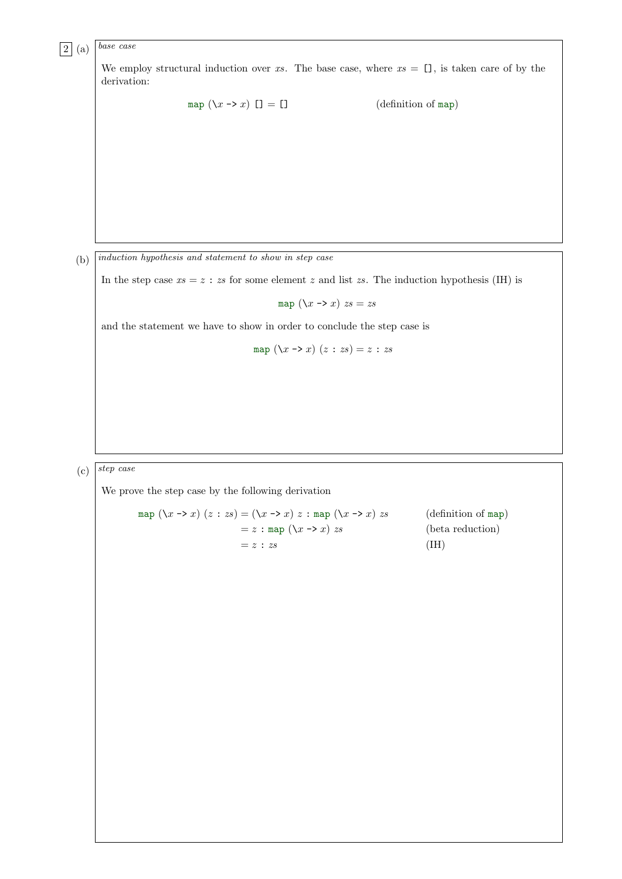$\boxed{2}$  (a)  $\boxed{base\ case}$ 

We employ structural induction over xs. The base case, where  $xs = [$ ], is taken care of by the derivation:

map  $(\lambda x \rightarrow x)$  [] = [] (definition of map)

 $(b)$  induction hypothesis and statement to show in step case

In the step case  $xs = z : zs$  for some element z and list zs. The induction hypothesis (IH) is

map  $(\lambda x \rightarrow x)$   $zs = zs$ 

and the statement we have to show in order to conclude the step case is

map 
$$
(x \to x) (z : zs) = z : zs
$$

(c)  $s_{\text{t}}$  step case

We prove the step case by the following derivation

$$
\begin{aligned}\n\text{map } (\lambda x \to x) (z : zs) &= (\lambda x \to x) z : \text{map } (\lambda x \to x) zs \\
&= z : \text{map } (\lambda x \to x) zs \\
&= z : zs\n\end{aligned}\n\tag{def}
$$

 $(\text{definition of map})$ (beta reduction)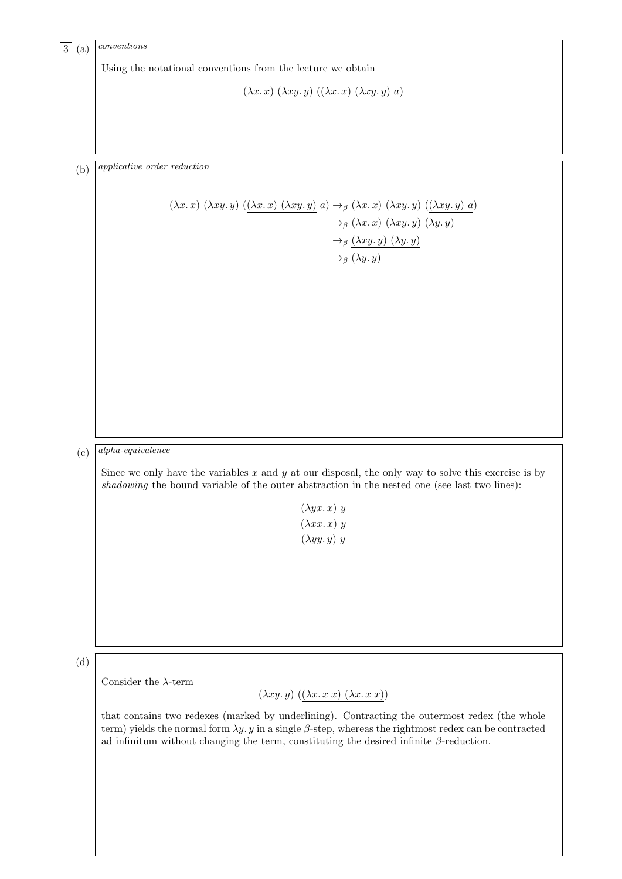| 3                          | conventions                                                                                                                                |
|----------------------------|--------------------------------------------------------------------------------------------------------------------------------------------|
| $\left( \mathrm{a}\right)$ |                                                                                                                                            |
|                            | Using the notational conventions from the lecture we obtain                                                                                |
|                            | $(\lambda x. x) (\lambda xy. y) ((\lambda x. x) (\lambda xy. y) a)$                                                                        |
|                            |                                                                                                                                            |
|                            |                                                                                                                                            |
|                            |                                                                                                                                            |
|                            |                                                                                                                                            |
| (b)                        | applicative order reduction                                                                                                                |
|                            |                                                                                                                                            |
|                            | $(\lambda x. x) (\lambda xy. y) ((\lambda x. x) (\lambda xy. y) a) \rightarrow_{\beta} (\lambda x. x) (\lambda xy. y) ((\lambda xy. y) a)$ |
|                            | $\rightarrow_{\beta} (\lambda x.\, x) \ (\lambda x y.\, y)$ $(\lambda y.\, y)$                                                             |
|                            | $\rightarrow_{\beta} (\lambda xy.\,y) \ (\lambda y.\,y)$                                                                                   |
|                            | $\rightarrow_{\beta} (\lambda y. y)$                                                                                                       |
|                            |                                                                                                                                            |
|                            |                                                                                                                                            |
|                            |                                                                                                                                            |
|                            |                                                                                                                                            |
|                            |                                                                                                                                            |
|                            |                                                                                                                                            |
|                            |                                                                                                                                            |
|                            |                                                                                                                                            |
|                            |                                                                                                                                            |
|                            |                                                                                                                                            |
|                            |                                                                                                                                            |
|                            | $alpha$ -equivalence                                                                                                                       |
| (c)                        |                                                                                                                                            |
|                            | Since we only have the variables $x$ and $y$ at our disposal, the only way to solve this exercise is by                                    |
|                            | shadowing the bound variable of the outer abstraction in the nested one (see last two lines):                                              |
|                            | $(\lambda yx. x) y$                                                                                                                        |
|                            | $(\lambda xx. x) y$                                                                                                                        |
|                            | $(\lambda yy. y) y$                                                                                                                        |
|                            |                                                                                                                                            |
|                            |                                                                                                                                            |
|                            |                                                                                                                                            |
|                            |                                                                                                                                            |
|                            |                                                                                                                                            |
|                            |                                                                                                                                            |
|                            |                                                                                                                                            |
| (d)                        |                                                                                                                                            |
|                            | Consider the $\lambda$ -term                                                                                                               |
|                            | $(\lambda xy.\,y)\,\,(\underline{(\lambda x.\,x\,\,x)}\,\,(\lambda x.\,x\,\,x))$                                                           |
|                            | that contains two redexes (marked by underlining). Contracting the outermost redex (the whole                                              |
|                            | term) yields the normal form $\lambda y$ . y in a single $\beta$ -step, whereas the rightmost redex can be contracted                      |
|                            | ad infinitum without changing the term, constituting the desired infinite $\beta$ -reduction.                                              |
|                            |                                                                                                                                            |
|                            |                                                                                                                                            |
|                            |                                                                                                                                            |
|                            |                                                                                                                                            |
|                            |                                                                                                                                            |
|                            |                                                                                                                                            |